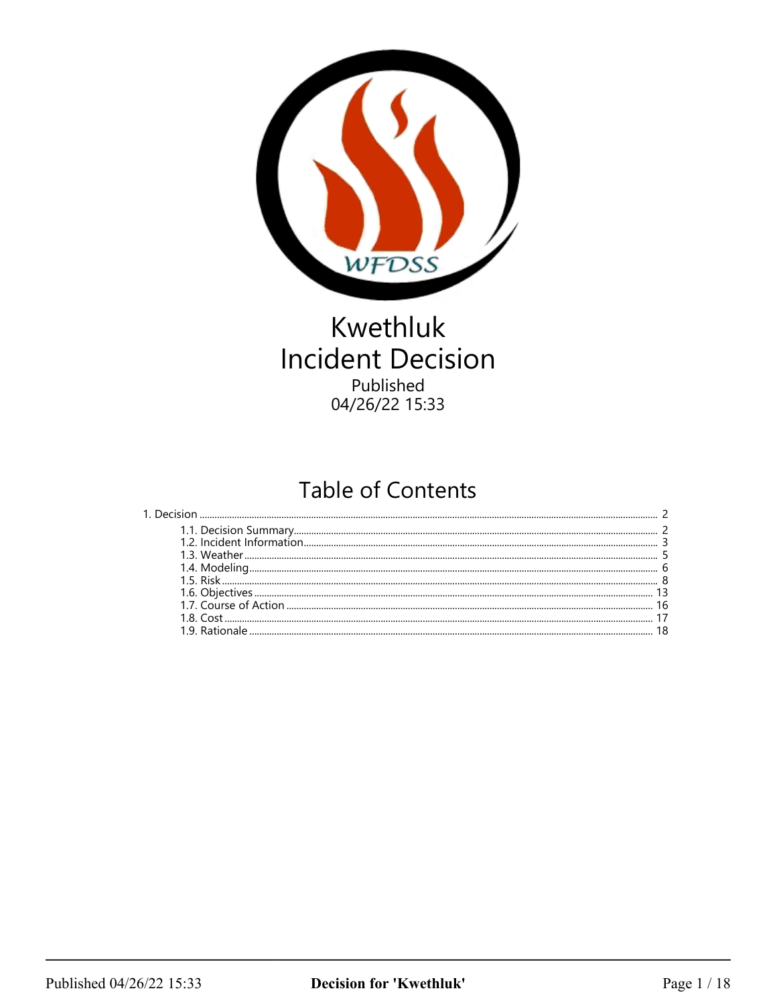

# Kwethluk **Incident Decision** Published 04/26/22 15:33

# **Table of Contents**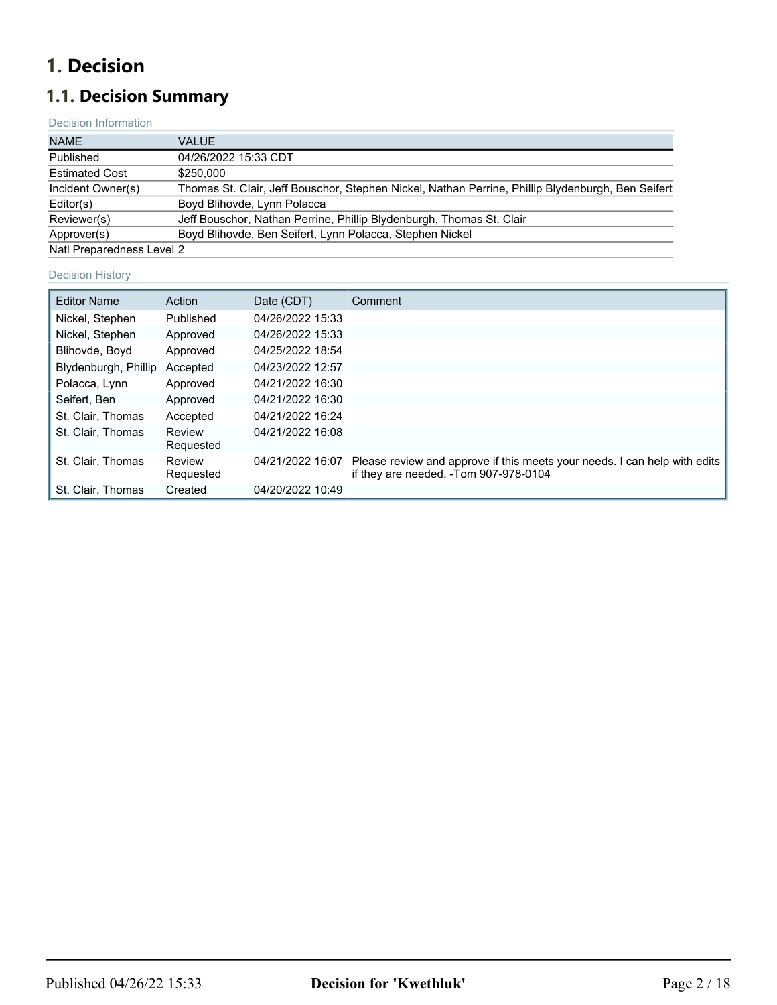# <span id="page-1-0"></span>**1. Decision**

# <span id="page-1-1"></span>**1.1. Decision Summary**

## Decision Information

| <b>NAME</b>               | <b>VALUE</b>                                                                                      |
|---------------------------|---------------------------------------------------------------------------------------------------|
| Published                 | 04/26/2022 15:33 CDT                                                                              |
| <b>Estimated Cost</b>     | \$250.000                                                                                         |
| Incident Owner(s)         | Thomas St. Clair, Jeff Bouschor, Stephen Nickel, Nathan Perrine, Phillip Blydenburgh, Ben Seifert |
| Editor(s)                 | Boyd Blihovde, Lynn Polacca                                                                       |
| Reviewer(s)               | Jeff Bouschor, Nathan Perrine, Phillip Blydenburgh, Thomas St. Clair                              |
| Approver(s)               | Boyd Blihovde, Ben Seifert, Lynn Polacca, Stephen Nickel                                          |
| Natl Preparedness Level 2 |                                                                                                   |

#### Decision History

| <b>Editor Name</b>   | Action              | Date (CDT)       | Comment                                                                                                            |
|----------------------|---------------------|------------------|--------------------------------------------------------------------------------------------------------------------|
| Nickel, Stephen      | Published           | 04/26/2022 15:33 |                                                                                                                    |
| Nickel, Stephen      | Approved            | 04/26/2022 15:33 |                                                                                                                    |
| Blihovde, Boyd       | Approved            | 04/25/2022 18:54 |                                                                                                                    |
| Blydenburgh, Phillip | Accepted            | 04/23/2022 12:57 |                                                                                                                    |
| Polacca, Lynn        | Approved            | 04/21/2022 16:30 |                                                                                                                    |
| Seifert, Ben         | Approved            | 04/21/2022 16:30 |                                                                                                                    |
| St. Clair, Thomas    | Accepted            | 04/21/2022 16:24 |                                                                                                                    |
| St. Clair. Thomas    | Review<br>Requested | 04/21/2022 16:08 |                                                                                                                    |
| St. Clair, Thomas    | Review<br>Requested | 04/21/2022 16:07 | Please review and approve if this meets your needs. I can help with edits<br>if they are needed. -Tom 907-978-0104 |
| St. Clair, Thomas    | Created             | 04/20/2022 10:49 |                                                                                                                    |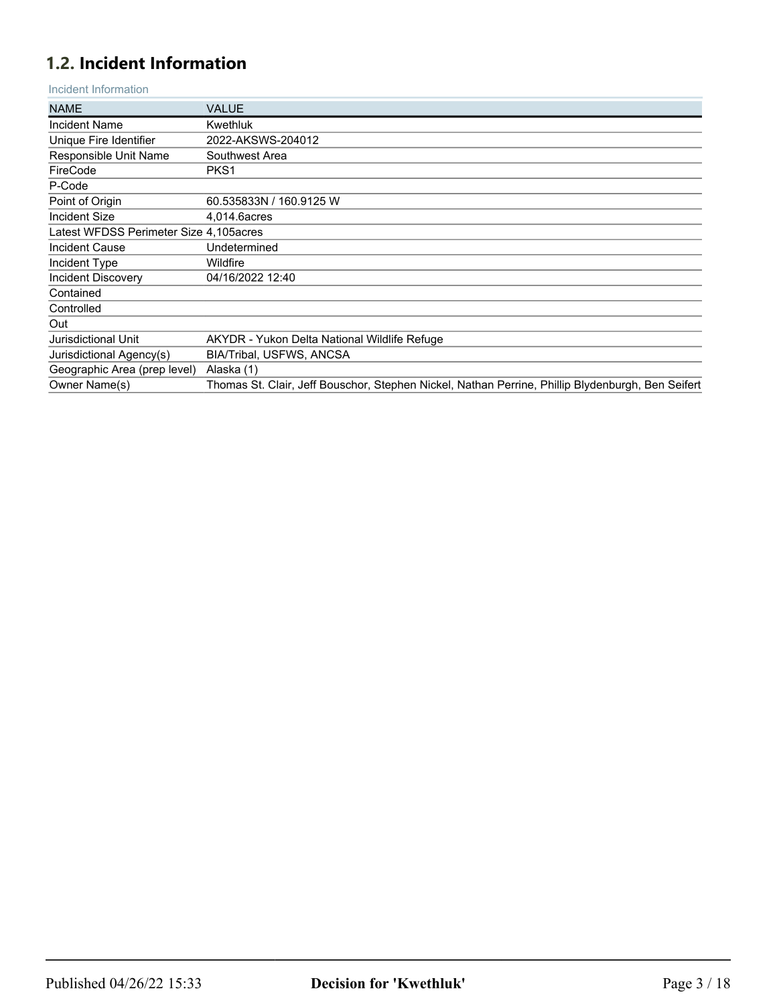# <span id="page-2-0"></span>**1.2. Incident Information**

Incident Information

| <b>NAME</b>                            | <b>VALUE</b>                                                                                      |
|----------------------------------------|---------------------------------------------------------------------------------------------------|
| <b>Incident Name</b>                   | Kwethluk                                                                                          |
| Unique Fire Identifier                 | 2022-AKSWS-204012                                                                                 |
| Responsible Unit Name                  | Southwest Area                                                                                    |
| FireCode                               | PKS1                                                                                              |
| P-Code                                 |                                                                                                   |
| Point of Origin                        | 60.535833N / 160.9125 W                                                                           |
| Incident Size                          | 4,014.6acres                                                                                      |
| Latest WFDSS Perimeter Size 4,105acres |                                                                                                   |
| <b>Incident Cause</b>                  | Undetermined                                                                                      |
| Incident Type                          | Wildfire                                                                                          |
| <b>Incident Discovery</b>              | 04/16/2022 12:40                                                                                  |
| Contained                              |                                                                                                   |
| Controlled                             |                                                                                                   |
| Out                                    |                                                                                                   |
| Jurisdictional Unit                    | AKYDR - Yukon Delta National Wildlife Refuge                                                      |
| Jurisdictional Agency(s)               | <b>BIA/Tribal, USFWS, ANCSA</b>                                                                   |
| Geographic Area (prep level)           | Alaska (1)                                                                                        |
| Owner Name(s)                          | Thomas St. Clair, Jeff Bouschor, Stephen Nickel, Nathan Perrine, Phillip Blydenburgh, Ben Seifert |
|                                        |                                                                                                   |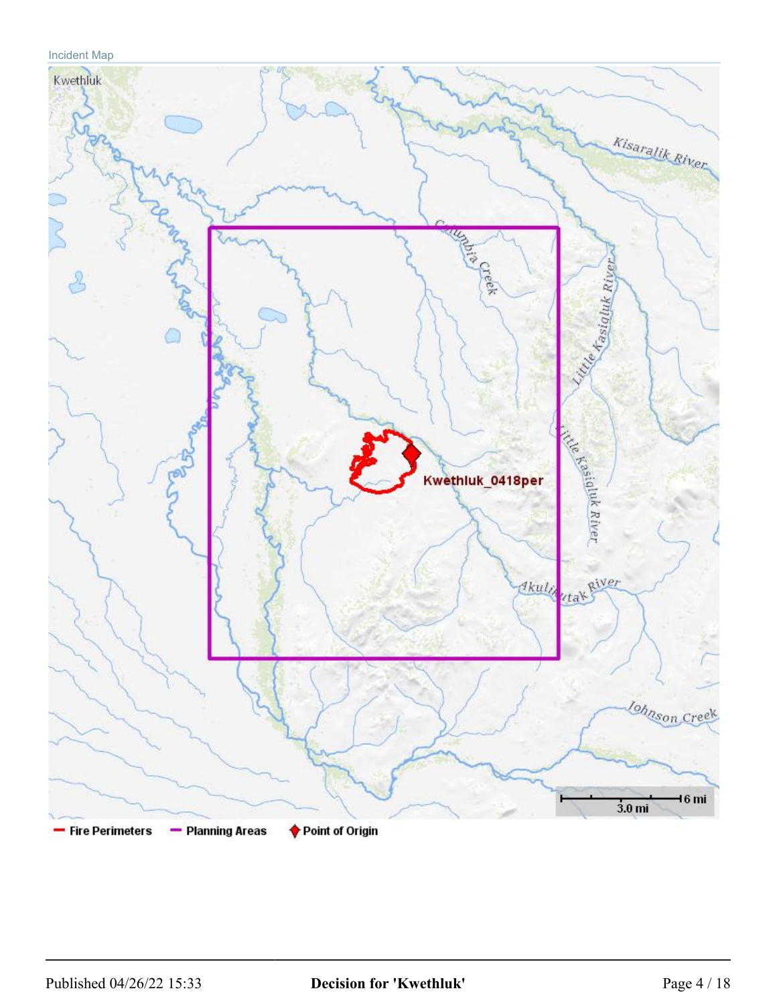## Incident Map

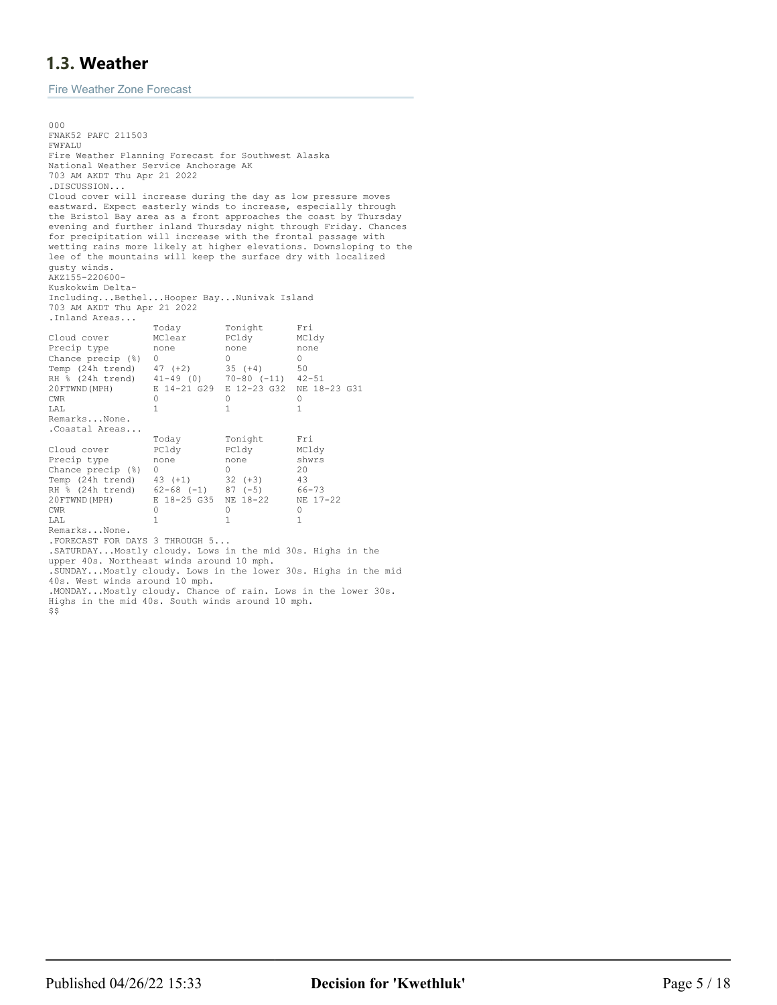## <span id="page-4-0"></span>**1.3. Weather**

Fire Weather Zone Forecast

000 FNAK52 PAFC 211503 FWFALU Fire Weather Planning Forecast for Southwest Alaska National Weather Service Anchorage AK 703 AM AKDT Thu Apr 21 2022 .DISCUSSION... Cloud cover will increase during the day as low pressure moves eastward. Expect easterly winds to increase, especially through the Bristol Bay area as a front approaches the coast by Thursday evening and further inland Thursday night through Friday. Chances for precipitation will increase with the frontal passage with wetting rains more likely at higher elevations. Downsloping to the lee of the mountains will keep the surface dry with localized gusty winds. AKZ155-220600- Kuskokwim Delta-Including...Bethel...Hooper Bay...Nunivak Island 703 AM AKDT Thu Apr 21 2022 .Inland Areas... Today Tonight Fri Cloud cover MClear PCldy MCldy<br>Precip type none none none none Precip type none none n<br>Chance precip (%) 0 0 0 0 Chance precip (%) 0 0 0 0<br>
Temp (24h trend) 47 (+2) 35 (+4) 50 Temp (24h trend) 47 (+2) 35 (+4) 50<br>RH % (24h trend) 41-49 (0) 70-80 (-11) 42-51  $RH \$  (24h trend)<br>20FTWND (MPH) 20FTWND(MPH) E 14-21 G29 E 12-23 G32 NE 18-23 G31 CWR 0 0 0 LAL 1 1 1 Remarks...None. .Coastal Areas... Today Tonight Fri Cloud cover PCldy PCldy MCldy Precip type none none shw<br>Chance precip (%) 0 0 0 20 Chance precip (%) 0 0 20 Temp (24h trend) 43 (+1) 32 (+3) 43 RH  $\frac{1}{8}$  (24h trend) 62-68 (-1) 87 (-5) 66-73<br>20 PTWND (MPH) E 18-25 G35 NE 18-22 NE 17-22 20 FTWND (MPH) E 18-25 G35 NE 18-22 NE CWR CWR 0 0 0 LAL 1 1 1 Remarks...None. .FORECAST FOR DAYS 3 THROUGH 5... .SATURDAY...Mostly cloudy. Lows in the mid 30s. Highs in the upper 40s. Northeast winds around 10 mph. .SUNDAY...Mostly cloudy. Lows in the lower 30s. Highs in the mid 40s. West winds around 10 mph. .MONDAY...Mostly cloudy. Chance of rain. Lows in the lower 30s.

- Highs in the mid 40s. South winds around 10 mph.
- \$\$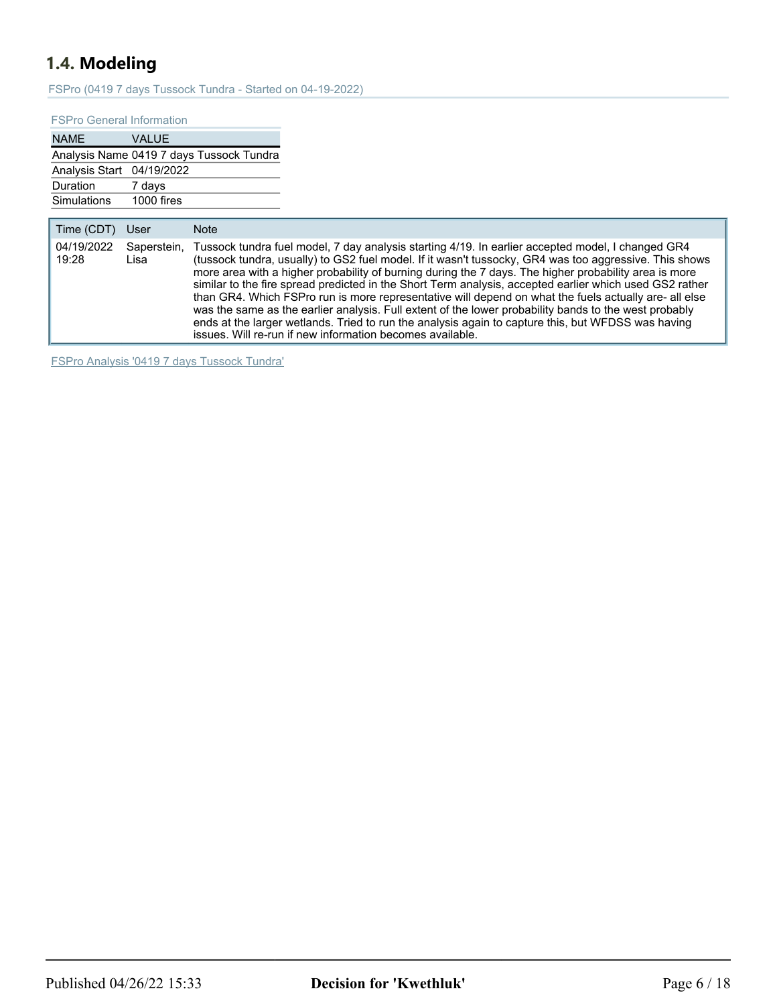# <span id="page-5-0"></span>**1.4. Modeling**

FSPro (0419 7 days Tussock Tundra - Started on 04-19-2022)

#### FSPro General Information

| <b>NAME</b>               | <b>VALUE</b>                             |
|---------------------------|------------------------------------------|
|                           | Analysis Name 0419 7 days Tussock Tundra |
| Analysis Start 04/19/2022 |                                          |
| Duration                  | 7 days                                   |
| <b>Simulations</b>        | 1000 fires                               |

| Time (CDT)<br>User<br><b>Note</b>                                                                                                                                                                                                                                                                                                                                                                                                                                                                                                                                                                                                                                                                                                                                                                                                                                  |  |
|--------------------------------------------------------------------------------------------------------------------------------------------------------------------------------------------------------------------------------------------------------------------------------------------------------------------------------------------------------------------------------------------------------------------------------------------------------------------------------------------------------------------------------------------------------------------------------------------------------------------------------------------------------------------------------------------------------------------------------------------------------------------------------------------------------------------------------------------------------------------|--|
| 04/19/2022<br>Tussock tundra fuel model, 7 day analysis starting 4/19. In earlier accepted model, I changed GR4<br>Saperstein,<br>(tussock tundra, usually) to GS2 fuel model. If it wasn't tussocky, GR4 was too aggressive. This shows<br>19:28<br>Lisa<br>more area with a higher probability of burning during the 7 days. The higher probability area is more<br>similar to the fire spread predicted in the Short Term analysis, accepted earlier which used GS2 rather<br>than GR4. Which FSPro run is more representative will depend on what the fuels actually are- all else<br>was the same as the earlier analysis. Full extent of the lower probability bands to the west probably<br>ends at the larger wetlands. Tried to run the analysis again to capture this, but WFDSS was having<br>issues. Will re-run if new information becomes available. |  |

FSPro Analysis '0419 7 days Tussock Tundra'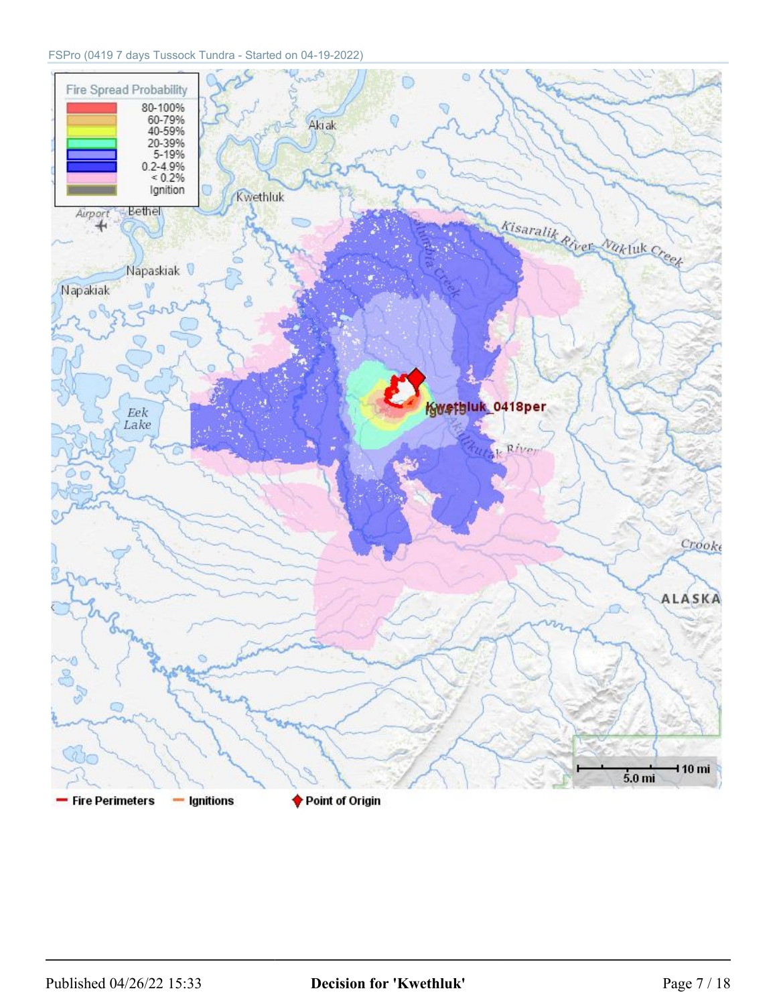#### FSPro (0419 7 days Tussock Tundra - Started on 04-19-2022)

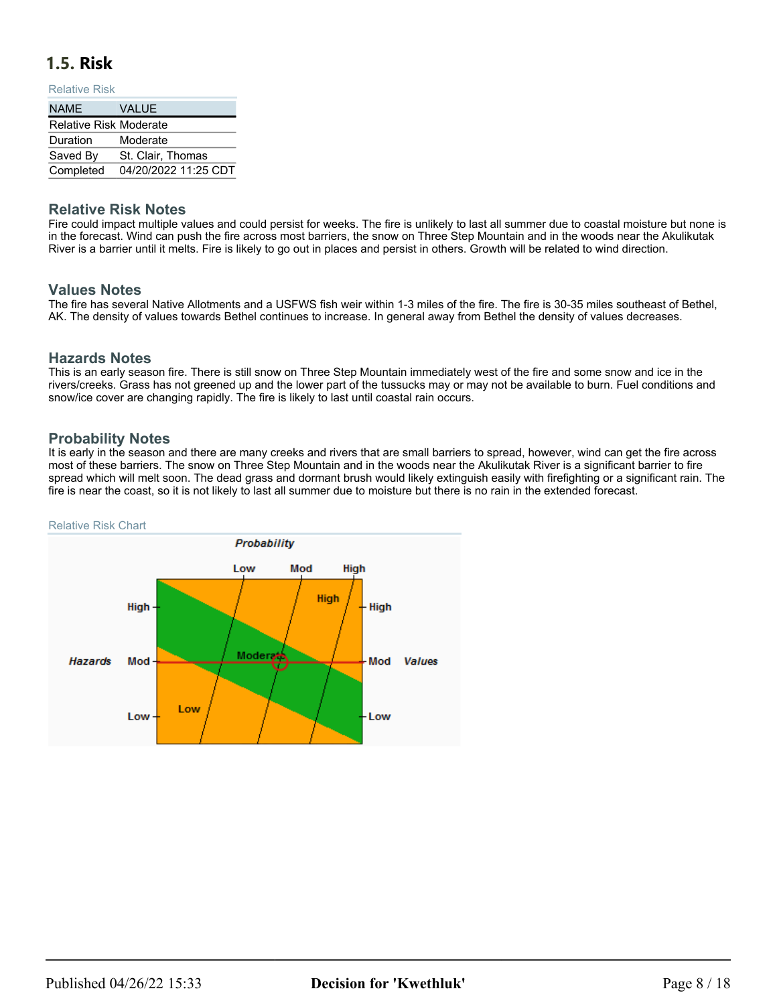## <span id="page-7-0"></span>**1.5. Risk**

#### Relative Risk

| <b>NAME</b>                   | <b>VALUE</b>                   |
|-------------------------------|--------------------------------|
| <b>Relative Risk Moderate</b> |                                |
| Duration                      | Moderate                       |
| Saved By                      | St. Clair, Thomas              |
|                               | Completed 04/20/2022 11:25 CDT |

### **Relative Risk Notes**

Fire could impact multiple values and could persist for weeks. The fire is unlikely to last all summer due to coastal moisture but none is in the forecast. Wind can push the fire across most barriers, the snow on Three Step Mountain and in the woods near the Akulikutak River is a barrier until it melts. Fire is likely to go out in places and persist in others. Growth will be related to wind direction.

### **Values Notes**

The fire has several Native Allotments and a USFWS fish weir within 1-3 miles of the fire. The fire is 30-35 miles southeast of Bethel, AK. The density of values towards Bethel continues to increase. In general away from Bethel the density of values decreases.

### **Hazards Notes**

This is an early season fire. There is still snow on Three Step Mountain immediately west of the fire and some snow and ice in the rivers/creeks. Grass has not greened up and the lower part of the tussucks may or may not be available to burn. Fuel conditions and snow/ice cover are changing rapidly. The fire is likely to last until coastal rain occurs.

### **Probability Notes**

It is early in the season and there are many creeks and rivers that are small barriers to spread, however, wind can get the fire across most of these barriers. The snow on Three Step Mountain and in the woods near the Akulikutak River is a significant barrier to fire spread which will melt soon. The dead grass and dormant brush would likely extinguish easily with firefighting or a significant rain. The fire is near the coast, so it is not likely to last all summer due to moisture but there is no rain in the extended forecast.

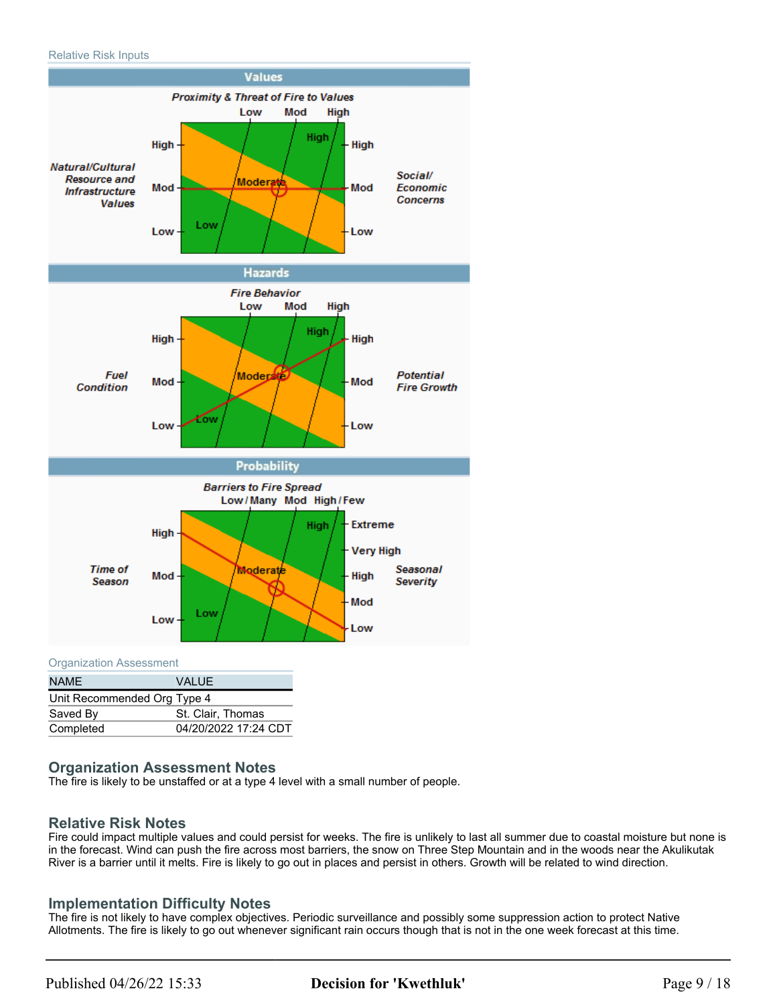

Organization Assessment

| <b>NAME</b>                 | VALUE                |
|-----------------------------|----------------------|
| Unit Recommended Org Type 4 |                      |
| Saved By                    | St. Clair, Thomas    |
| Completed                   | 04/20/2022 17:24 CDT |

### **Organization Assessment Notes**

The fire is likely to be unstaffed or at a type 4 level with a small number of people.

### **Relative Risk Notes**

Fire could impact multiple values and could persist for weeks. The fire is unlikely to last all summer due to coastal moisture but none is in the forecast. Wind can push the fire across most barriers, the snow on Three Step Mountain and in the woods near the Akulikutak River is a barrier until it melts. Fire is likely to go out in places and persist in others. Growth will be related to wind direction.

### **Implementation Difficulty Notes**

The fire is not likely to have complex objectives. Periodic surveillance and possibly some suppression action to protect Native Allotments. The fire is likely to go out whenever significant rain occurs though that is not in the one week forecast at this time.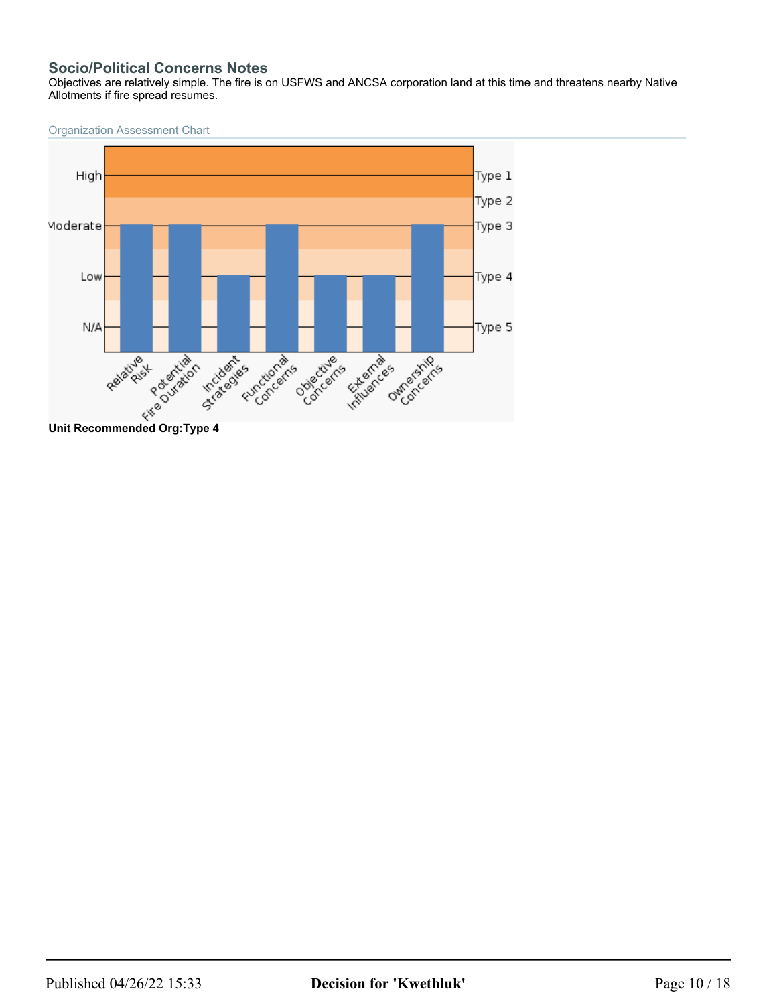### **Socio/Political Concerns Notes**

Objectives are relatively simple. The fire is on USFWS and ANCSA corporation land at this time and threatens nearby Native Allotments if fire spread resumes.

Organization Assessment Chart

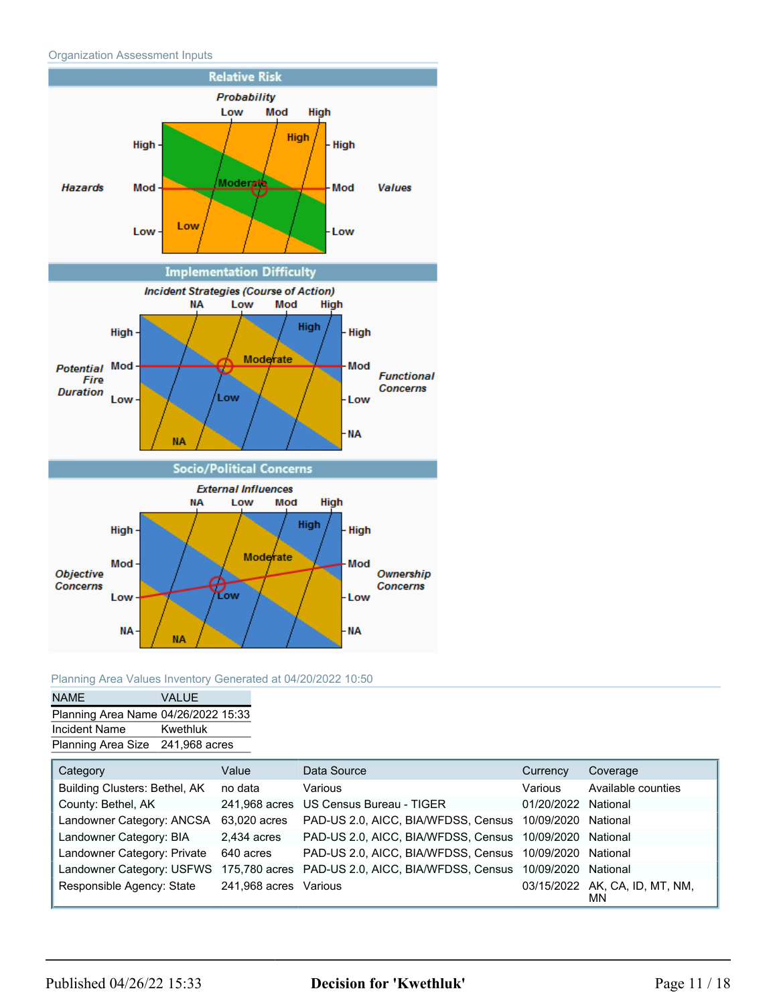



### Planning Area Values Inventory Generated at 04/20/2022 10:50

| <b>NAME</b>                         | VALUE.   |
|-------------------------------------|----------|
| Planning Area Name 04/26/2022 15:33 |          |
| Incident Name                       | Kwethluk |
| Planning Area Size 241,968 acres    |          |

| Category                      | Value                 | Data Source                                                                                     | Currency            | Coverage                             |
|-------------------------------|-----------------------|-------------------------------------------------------------------------------------------------|---------------------|--------------------------------------|
| Building Clusters: Bethel, AK | no data               | Various                                                                                         | Various             | Available counties                   |
| County: Bethel, AK            |                       | 241,968 acres US Census Bureau - TIGER                                                          | 01/20/2022 National |                                      |
| Landowner Category: ANCSA     | 63,020 acres          | PAD-US 2.0, AICC, BIA/WFDSS, Census 10/09/2020 National                                         |                     |                                      |
| Landowner Category: BIA       | 2,434 acres           | PAD-US 2.0, AICC, BIA/WFDSS, Census 10/09/2020 National                                         |                     |                                      |
| Landowner Category: Private   | 640 acres             | PAD-US 2.0, AICC, BIA/WFDSS, Census 10/09/2020 National                                         |                     |                                      |
|                               |                       | Landowner Category: USFWS 175,780 acres PAD-US 2.0, AICC, BIA/WFDSS, Census 10/09/2020 National |                     |                                      |
| Responsible Agency: State     | 241,968 acres Various |                                                                                                 |                     | 03/15/2022 AK, CA, ID, MT, NM,<br>ΜN |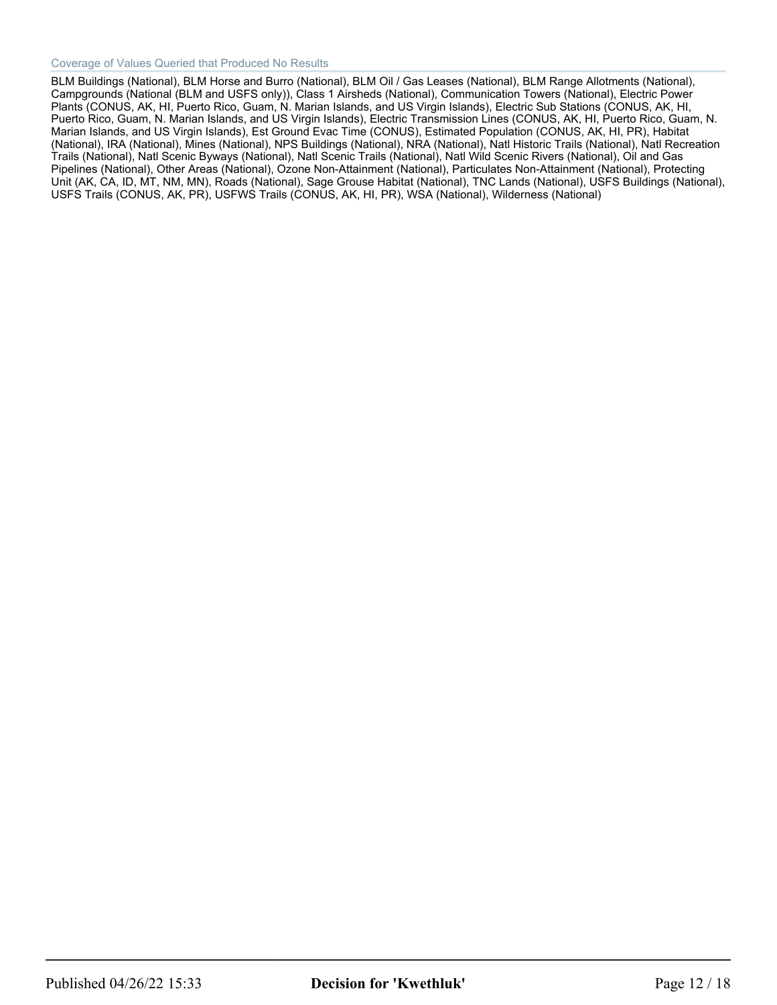#### Coverage of Values Queried that Produced No Results

BLM Buildings (National), BLM Horse and Burro (National), BLM Oil / Gas Leases (National), BLM Range Allotments (National), Campgrounds (National (BLM and USFS only)), Class 1 Airsheds (National), Communication Towers (National), Electric Power Plants (CONUS, AK, HI, Puerto Rico, Guam, N. Marian Islands, and US Virgin Islands), Electric Sub Stations (CONUS, AK, HI, Puerto Rico, Guam, N. Marian Islands, and US Virgin Islands), Electric Transmission Lines (CONUS, AK, HI, Puerto Rico, Guam, N. Marian Islands, and US Virgin Islands), Est Ground Evac Time (CONUS), Estimated Population (CONUS, AK, HI, PR), Habitat (National), IRA (National), Mines (National), NPS Buildings (National), NRA (National), Natl Historic Trails (National), Natl Recreation Trails (National), Natl Scenic Byways (National), Natl Scenic Trails (National), Natl Wild Scenic Rivers (National), Oil and Gas Pipelines (National), Other Areas (National), Ozone Non-Attainment (National), Particulates Non-Attainment (National), Protecting Unit (AK, CA, ID, MT, NM, MN), Roads (National), Sage Grouse Habitat (National), TNC Lands (National), USFS Buildings (National), USFS Trails (CONUS, AK, PR), USFWS Trails (CONUS, AK, HI, PR), WSA (National), Wilderness (National)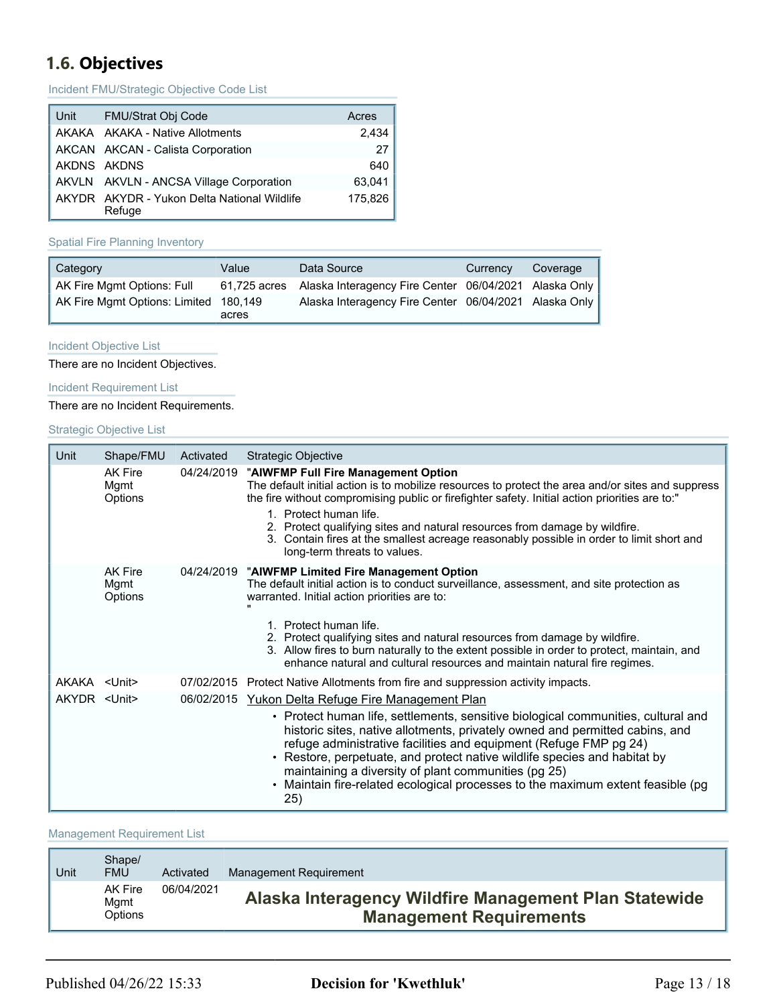# <span id="page-12-0"></span>**1.6. Objectives**

Incident FMU/Strategic Objective Code List

| Unit | FMU/Strat Obj Code                                    | Acres   |
|------|-------------------------------------------------------|---------|
|      | AKAKA AKAKA - Native Allotments                       | 2.434   |
|      | AKCAN AKCAN - Calista Corporation                     | 27      |
|      | AKDNS AKDNS                                           | 640     |
|      | AKVLN AKVLN - ANCSA Village Corporation               | 63,041  |
|      | AKYDR AKYDR - Yukon Delta National Wildlife<br>Refuge | 175,826 |

#### Spatial Fire Planning Inventory

| Category                              | Value | Data Source                                                        | Currency | Coverage |
|---------------------------------------|-------|--------------------------------------------------------------------|----------|----------|
| AK Fire Mgmt Options: Full            |       | 61,725 acres Alaska Interagency Fire Center 06/04/2021 Alaska Only |          |          |
| AK Fire Mgmt Options: Limited 180,149 | acres | Alaska Interagency Fire Center 06/04/2021 Alaska Only              |          |          |

#### Incident Objective List

There are no Incident Objectives.

Incident Requirement List

There are no Incident Requirements.

#### Strategic Objective List

| Unit                | Shape/FMU                                | Activated  | <b>Strategic Objective</b>                                                                                                                                                                                                                                                                                                                                                                                                                                                                                                  |
|---------------------|------------------------------------------|------------|-----------------------------------------------------------------------------------------------------------------------------------------------------------------------------------------------------------------------------------------------------------------------------------------------------------------------------------------------------------------------------------------------------------------------------------------------------------------------------------------------------------------------------|
|                     | AK Fire<br>Mgmt<br>Options               |            | 04/24/2019 "AIWFMP Full Fire Management Option<br>The default initial action is to mobilize resources to protect the area and/or sites and suppress<br>the fire without compromising public or firefighter safety. Initial action priorities are to:"<br>Protect human life.<br>2. Protect qualifying sites and natural resources from damage by wildfire.<br>3. Contain fires at the smallest acreage reasonably possible in order to limit short and<br>long-term threats to values.                                      |
|                     | <b>AK Fire</b><br>Mgmt<br><b>Options</b> |            | 04/24/2019 "AIWFMP Limited Fire Management Option<br>The default initial action is to conduct surveillance, assessment, and site protection as<br>warranted. Initial action priorities are to:<br>Protect human life.<br>2. Protect qualifying sites and natural resources from damage by wildfire.<br>3. Allow fires to burn naturally to the extent possible in order to protect, maintain, and<br>enhance natural and cultural resources and maintain natural fire regimes.                                              |
| AKAKA <unit></unit> |                                          | 07/02/2015 | Protect Native Allotments from fire and suppression activity impacts.                                                                                                                                                                                                                                                                                                                                                                                                                                                       |
| AKYDR <unit></unit> |                                          |            | 06/02/2015 Yukon Delta Refuge Fire Management Plan<br>• Protect human life, settlements, sensitive biological communities, cultural and<br>historic sites, native allotments, privately owned and permitted cabins, and<br>refuge administrative facilities and equipment (Refuge FMP pg 24)<br>• Restore, perpetuate, and protect native wildlife species and habitat by<br>maintaining a diversity of plant communities (pg 25)<br>• Maintain fire-related ecological processes to the maximum extent feasible (pg<br>25) |

#### Management Requirement List

| Unit | Shape/<br><b>FMU</b>       | Activated  | Management Requirement                                                                  |
|------|----------------------------|------------|-----------------------------------------------------------------------------------------|
|      | AK Fire<br>Mgmt<br>Options | 06/04/2021 | Alaska Interagency Wildfire Management Plan Statewide<br><b>Management Requirements</b> |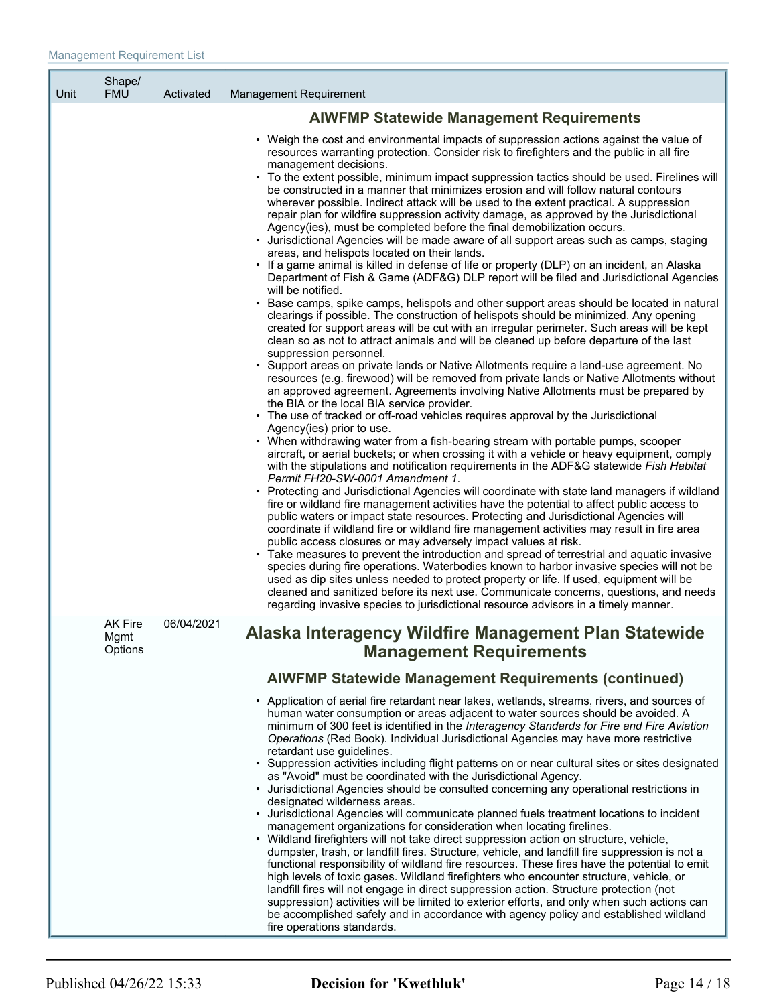| Unit | Shape/<br><b>FMU</b>              | Activated  | Management Requirement                                                                                                                                                                                                                                                                                                                                                                                                                                                                                                                                                                                                                                                                                                                                                                                                                                                                                                                                                                                                                                                                                                                                                                                                                                                                                                                                                                                                                                                                                                                                                                                                                                                                                                                                                                                                                                                                                                                                                                                                                                                                                                                                                                                                                                                                                                                                                                                                                                                                                                                                                                                                                                                                                                                                                                                                                                                                                                                                                                                                                                                                                                |
|------|-----------------------------------|------------|-----------------------------------------------------------------------------------------------------------------------------------------------------------------------------------------------------------------------------------------------------------------------------------------------------------------------------------------------------------------------------------------------------------------------------------------------------------------------------------------------------------------------------------------------------------------------------------------------------------------------------------------------------------------------------------------------------------------------------------------------------------------------------------------------------------------------------------------------------------------------------------------------------------------------------------------------------------------------------------------------------------------------------------------------------------------------------------------------------------------------------------------------------------------------------------------------------------------------------------------------------------------------------------------------------------------------------------------------------------------------------------------------------------------------------------------------------------------------------------------------------------------------------------------------------------------------------------------------------------------------------------------------------------------------------------------------------------------------------------------------------------------------------------------------------------------------------------------------------------------------------------------------------------------------------------------------------------------------------------------------------------------------------------------------------------------------------------------------------------------------------------------------------------------------------------------------------------------------------------------------------------------------------------------------------------------------------------------------------------------------------------------------------------------------------------------------------------------------------------------------------------------------------------------------------------------------------------------------------------------------------------------------------------------------------------------------------------------------------------------------------------------------------------------------------------------------------------------------------------------------------------------------------------------------------------------------------------------------------------------------------------------------------------------------------------------------------------------------------------------------|
|      |                                   |            | <b>AIWFMP Statewide Management Requirements</b>                                                                                                                                                                                                                                                                                                                                                                                                                                                                                                                                                                                                                                                                                                                                                                                                                                                                                                                                                                                                                                                                                                                                                                                                                                                                                                                                                                                                                                                                                                                                                                                                                                                                                                                                                                                                                                                                                                                                                                                                                                                                                                                                                                                                                                                                                                                                                                                                                                                                                                                                                                                                                                                                                                                                                                                                                                                                                                                                                                                                                                                                       |
|      |                                   |            | • Weigh the cost and environmental impacts of suppression actions against the value of<br>resources warranting protection. Consider risk to firefighters and the public in all fire<br>management decisions.<br>• To the extent possible, minimum impact suppression tactics should be used. Firelines will<br>be constructed in a manner that minimizes erosion and will follow natural contours<br>wherever possible. Indirect attack will be used to the extent practical. A suppression<br>repair plan for wildfire suppression activity damage, as approved by the Jurisdictional<br>Agency(ies), must be completed before the final demobilization occurs.<br>Jurisdictional Agencies will be made aware of all support areas such as camps, staging<br>areas, and helispots located on their lands.<br>• If a game animal is killed in defense of life or property (DLP) on an incident, an Alaska<br>Department of Fish & Game (ADF&G) DLP report will be filed and Jurisdictional Agencies<br>will be notified.<br>• Base camps, spike camps, helispots and other support areas should be located in natural<br>clearings if possible. The construction of helispots should be minimized. Any opening<br>created for support areas will be cut with an irregular perimeter. Such areas will be kept<br>clean so as not to attract animals and will be cleaned up before departure of the last<br>suppression personnel.<br>• Support areas on private lands or Native Allotments require a land-use agreement. No<br>resources (e.g. firewood) will be removed from private lands or Native Allotments without<br>an approved agreement. Agreements involving Native Allotments must be prepared by<br>the BIA or the local BIA service provider.<br>• The use of tracked or off-road vehicles requires approval by the Jurisdictional<br>Agency(ies) prior to use.<br>• When withdrawing water from a fish-bearing stream with portable pumps, scooper<br>aircraft, or aerial buckets; or when crossing it with a vehicle or heavy equipment, comply<br>with the stipulations and notification requirements in the ADF&G statewide Fish Habitat<br>Permit FH20-SW-0001 Amendment 1.<br>Protecting and Jurisdictional Agencies will coordinate with state land managers if wildland<br>fire or wildland fire management activities have the potential to affect public access to<br>public waters or impact state resources. Protecting and Jurisdictional Agencies will<br>coordinate if wildland fire or wildland fire management activities may result in fire area<br>public access closures or may adversely impact values at risk.<br>• Take measures to prevent the introduction and spread of terrestrial and aquatic invasive<br>species during fire operations. Waterbodies known to harbor invasive species will not be<br>used as dip sites unless needed to protect property or life. If used, equipment will be<br>cleaned and sanitized before its next use. Communicate concerns, questions, and needs<br>regarding invasive species to jurisdictional resource advisors in a timely manner. |
|      | <b>AK Fire</b><br>Mgmt<br>Options | 06/04/2021 | Alaska Interagency Wildfire Management Plan Statewide<br><b>Management Requirements</b>                                                                                                                                                                                                                                                                                                                                                                                                                                                                                                                                                                                                                                                                                                                                                                                                                                                                                                                                                                                                                                                                                                                                                                                                                                                                                                                                                                                                                                                                                                                                                                                                                                                                                                                                                                                                                                                                                                                                                                                                                                                                                                                                                                                                                                                                                                                                                                                                                                                                                                                                                                                                                                                                                                                                                                                                                                                                                                                                                                                                                               |
|      |                                   |            | <b>AIWFMP Statewide Management Requirements (continued)</b>                                                                                                                                                                                                                                                                                                                                                                                                                                                                                                                                                                                                                                                                                                                                                                                                                                                                                                                                                                                                                                                                                                                                                                                                                                                                                                                                                                                                                                                                                                                                                                                                                                                                                                                                                                                                                                                                                                                                                                                                                                                                                                                                                                                                                                                                                                                                                                                                                                                                                                                                                                                                                                                                                                                                                                                                                                                                                                                                                                                                                                                           |
|      |                                   |            | • Application of aerial fire retardant near lakes, wetlands, streams, rivers, and sources of<br>human water consumption or areas adjacent to water sources should be avoided. A<br>minimum of 300 feet is identified in the Interagency Standards for Fire and Fire Aviation<br>Operations (Red Book). Individual Jurisdictional Agencies may have more restrictive<br>retardant use guidelines.<br>• Suppression activities including flight patterns on or near cultural sites or sites designated<br>as "Avoid" must be coordinated with the Jurisdictional Agency.<br>• Jurisdictional Agencies should be consulted concerning any operational restrictions in<br>designated wilderness areas.<br>• Jurisdictional Agencies will communicate planned fuels treatment locations to incident<br>management organizations for consideration when locating firelines.<br>• Wildland firefighters will not take direct suppression action on structure, vehicle,<br>dumpster, trash, or landfill fires. Structure, vehicle, and landfill fire suppression is not a<br>functional responsibility of wildland fire resources. These fires have the potential to emit<br>high levels of toxic gases. Wildland firefighters who encounter structure, vehicle, or<br>landfill fires will not engage in direct suppression action. Structure protection (not<br>suppression) activities will be limited to exterior efforts, and only when such actions can<br>be accomplished safely and in accordance with agency policy and established wildland<br>fire operations standards.                                                                                                                                                                                                                                                                                                                                                                                                                                                                                                                                                                                                                                                                                                                                                                                                                                                                                                                                                                                                                                                                                                                                                                                                                                                                                                                                                                                                                                                                                                                                            |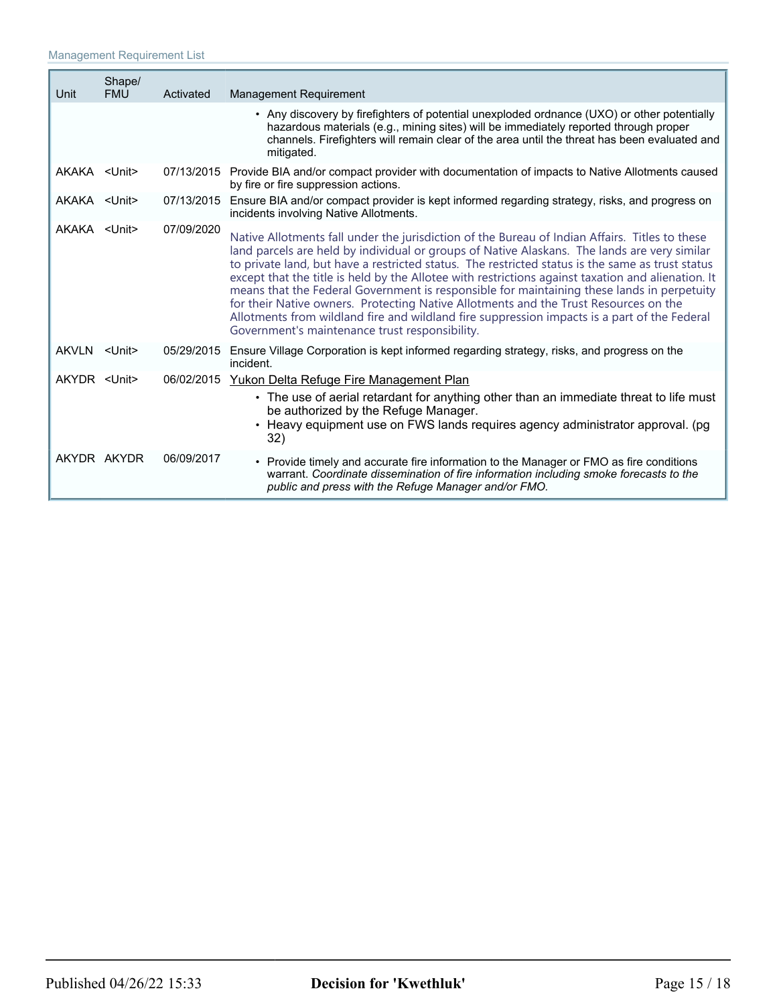| Unit                | Shape/<br><b>FMU</b> | Activated  | <b>Management Requirement</b>                                                                                                                                                                                                                                                                                                                                                                                                                                                                                                                                                                                                                                                                                                                    |
|---------------------|----------------------|------------|--------------------------------------------------------------------------------------------------------------------------------------------------------------------------------------------------------------------------------------------------------------------------------------------------------------------------------------------------------------------------------------------------------------------------------------------------------------------------------------------------------------------------------------------------------------------------------------------------------------------------------------------------------------------------------------------------------------------------------------------------|
|                     |                      |            | • Any discovery by firefighters of potential unexploded ordnance (UXO) or other potentially<br>hazardous materials (e.g., mining sites) will be immediately reported through proper<br>channels. Firefighters will remain clear of the area until the threat has been evaluated and<br>mitigated.                                                                                                                                                                                                                                                                                                                                                                                                                                                |
| AKAKA <unit></unit> |                      |            | 07/13/2015 Provide BIA and/or compact provider with documentation of impacts to Native Allotments caused<br>by fire or fire suppression actions.                                                                                                                                                                                                                                                                                                                                                                                                                                                                                                                                                                                                 |
| AKAKA <unit></unit> |                      |            | 07/13/2015 Ensure BIA and/or compact provider is kept informed regarding strategy, risks, and progress on<br>incidents involving Native Allotments.                                                                                                                                                                                                                                                                                                                                                                                                                                                                                                                                                                                              |
| AKAKA <unit></unit> |                      | 07/09/2020 | Native Allotments fall under the jurisdiction of the Bureau of Indian Affairs. Titles to these<br>land parcels are held by individual or groups of Native Alaskans. The lands are very similar<br>to private land, but have a restricted status. The restricted status is the same as trust status<br>except that the title is held by the Allotee with restrictions against taxation and alienation. It<br>means that the Federal Government is responsible for maintaining these lands in perpetuity<br>for their Native owners. Protecting Native Allotments and the Trust Resources on the<br>Allotments from wildland fire and wildland fire suppression impacts is a part of the Federal<br>Government's maintenance trust responsibility. |
| AKVLN <unit></unit> |                      | 05/29/2015 | Ensure Village Corporation is kept informed regarding strategy, risks, and progress on the<br>incident.                                                                                                                                                                                                                                                                                                                                                                                                                                                                                                                                                                                                                                          |
| AKYDR <unit></unit> |                      | 06/02/2015 | Yukon Delta Refuge Fire Management Plan<br>• The use of aerial retardant for anything other than an immediate threat to life must<br>be authorized by the Refuge Manager.<br>• Heavy equipment use on FWS lands requires agency administrator approval. (pg<br>32)                                                                                                                                                                                                                                                                                                                                                                                                                                                                               |
|                     | AKYDR AKYDR          | 06/09/2017 | • Provide timely and accurate fire information to the Manager or FMO as fire conditions<br>warrant. Coordinate dissemination of fire information including smoke forecasts to the<br>public and press with the Refuge Manager and/or FMO.                                                                                                                                                                                                                                                                                                                                                                                                                                                                                                        |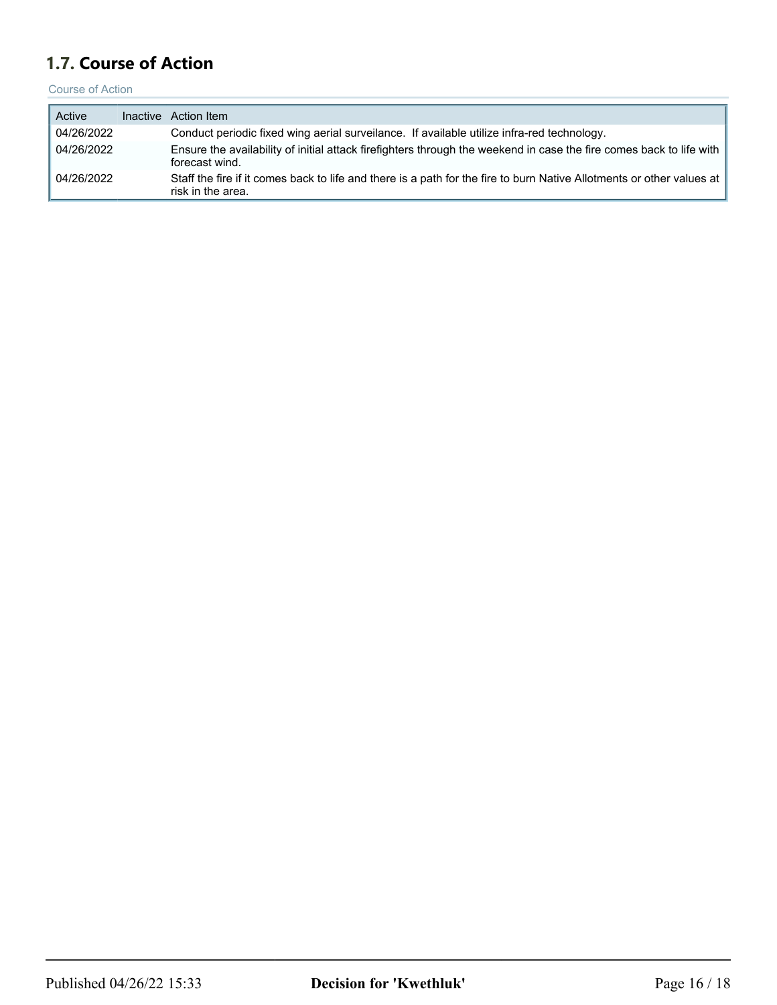# <span id="page-15-0"></span>**1.7. Course of Action**

Course of Action

| Active     | Inactive Action Item                                                                                                                       |
|------------|--------------------------------------------------------------------------------------------------------------------------------------------|
| 04/26/2022 | Conduct periodic fixed wing aerial surveilance. If available utilize infra-red technology.                                                 |
| 04/26/2022 | Ensure the availability of initial attack firefighters through the weekend in case the fire comes back to life with<br>forecast wind.      |
| 04/26/2022 | Staff the fire if it comes back to life and there is a path for the fire to burn Native Allotments or other values at<br>risk in the area. |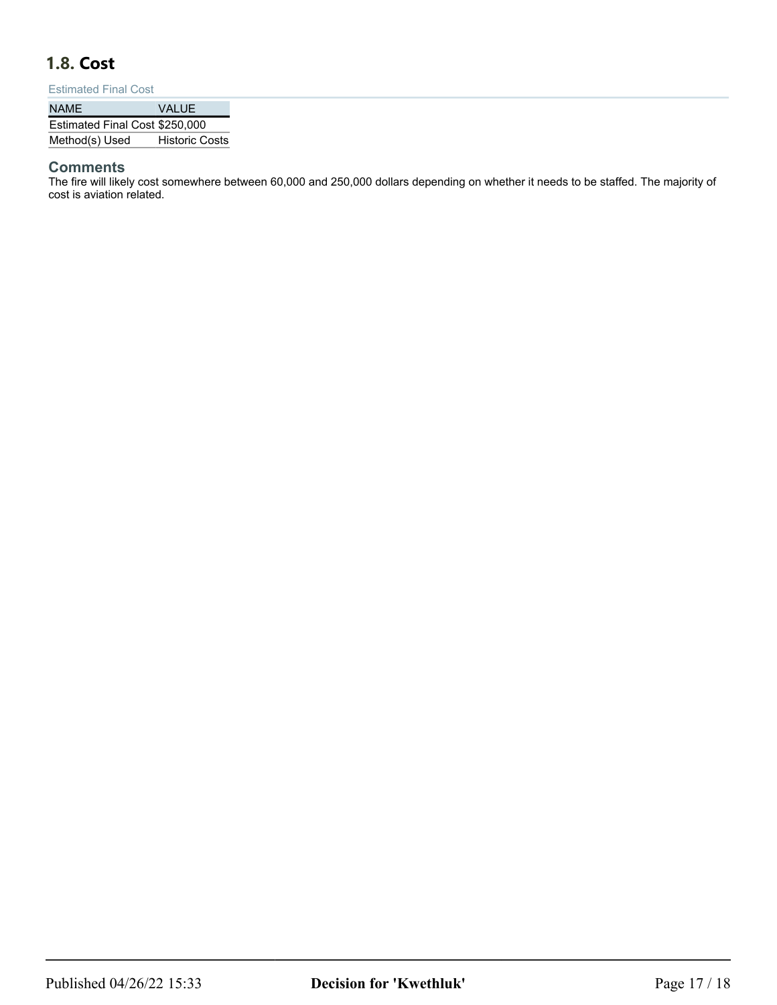# <span id="page-16-0"></span>**1.8. Cost**

#### Estimated Final Cost

| <b>NAME</b>                    | VALUE                 |
|--------------------------------|-----------------------|
| Estimated Final Cost \$250,000 |                       |
| Method(s) Used                 | <b>Historic Costs</b> |

### **Comments**

The fire will likely cost somewhere between 60,000 and 250,000 dollars depending on whether it needs to be staffed. The majority of cost is aviation related.